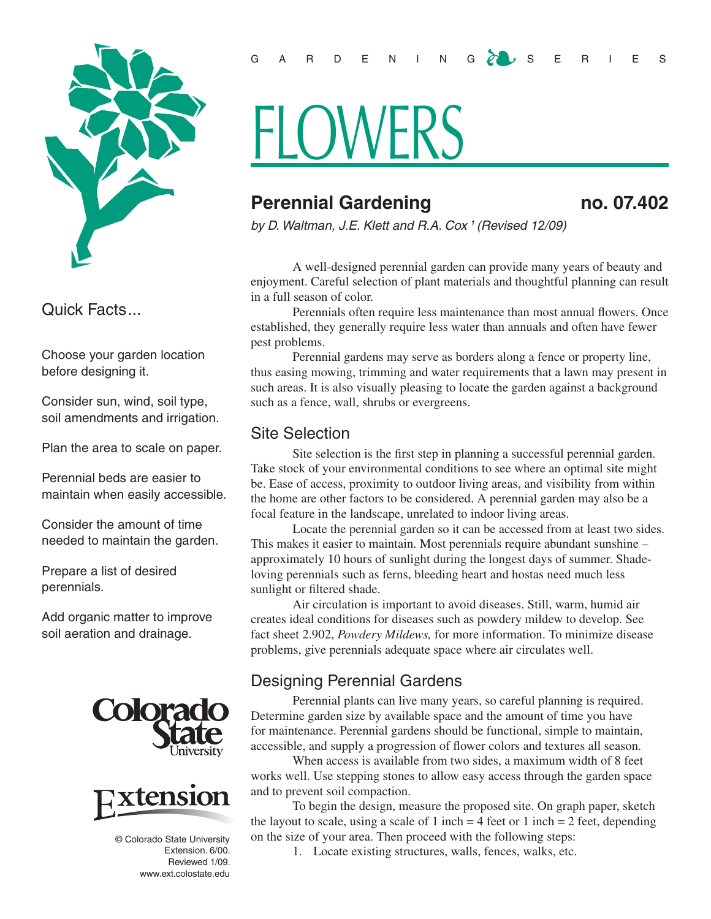

Quick Facts...

Choose your garden location before designing it.

Consider sun, wind, soil type, soil amendments and irrigation.

Plan the area to scale on paper.

Perennial beds are easier to maintain when easily accessible.

Consider the amount of time needed to maintain the garden.

Prepare a list of desired perennials.

Add organic matter to improve soil aeration and drainage.





© Colorado State University Extension. 6/00. Reviewed 1/09. www.ext.colostate.edu

# **FLOWERS**

# **Perennial Gardening 19 and 19 and 19 and 19 and 19 and 19 and 19 and 19 and 19 and 19 and 19 and 19 and 19 and 19 and 19 and 19 and 19 and 19 and 19 and 19 and 19 and 19 and 19 and 19 and 19 and 19 and 19 and 19 and 19 an**

*by D. Waltman, J.E. Klett and R.A. Cox 1 (Revised 12/09)*

A well-designed perennial garden can provide many years of beauty and enjoyment. Careful selection of plant materials and thoughtful planning can result in a full season of color.

Perennials often require less maintenance than most annual flowers. Once established, they generally require less water than annuals and often have fewer pest problems.

Perennial gardens may serve as borders along a fence or property line, thus easing mowing, trimming and water requirements that a lawn may present in such areas. It is also visually pleasing to locate the garden against a background such as a fence, wall, shrubs or evergreens.

### Site Selection

Site selection is the first step in planning a successful perennial garden. Take stock of your environmental conditions to see where an optimal site might be. Ease of access, proximity to outdoor living areas, and visibility from within the home are other factors to be considered. A perennial garden may also be a focal feature in the landscape, unrelated to indoor living areas.

Locate the perennial garden so it can be accessed from at least two sides. This makes it easier to maintain. Most perennials require abundant sunshine – approximately 10 hours of sunlight during the longest days of summer. Shadeloving perennials such as ferns, bleeding heart and hostas need much less sunlight or filtered shade.

Air circulation is important to avoid diseases. Still, warm, humid air creates ideal conditions for diseases such as powdery mildew to develop. See fact sheet 2.902, *Powdery Mildews,* for more information. To minimize disease problems, give perennials adequate space where air circulates well.

## Designing Perennial Gardens

Perennial plants can live many years, so careful planning is required. Determine garden size by available space and the amount of time you have for maintenance. Perennial gardens should be functional, simple to maintain, accessible, and supply a progression of flower colors and textures all season.

When access is available from two sides, a maximum width of 8 feet works well. Use stepping stones to allow easy access through the garden space and to prevent soil compaction.

To begin the design, measure the proposed site. On graph paper, sketch the layout to scale, using a scale of 1 inch  $=$  4 feet or 1 inch  $=$  2 feet, depending on the size of your area. Then proceed with the following steps:

1. Locate existing structures, walls, fences, walks, etc.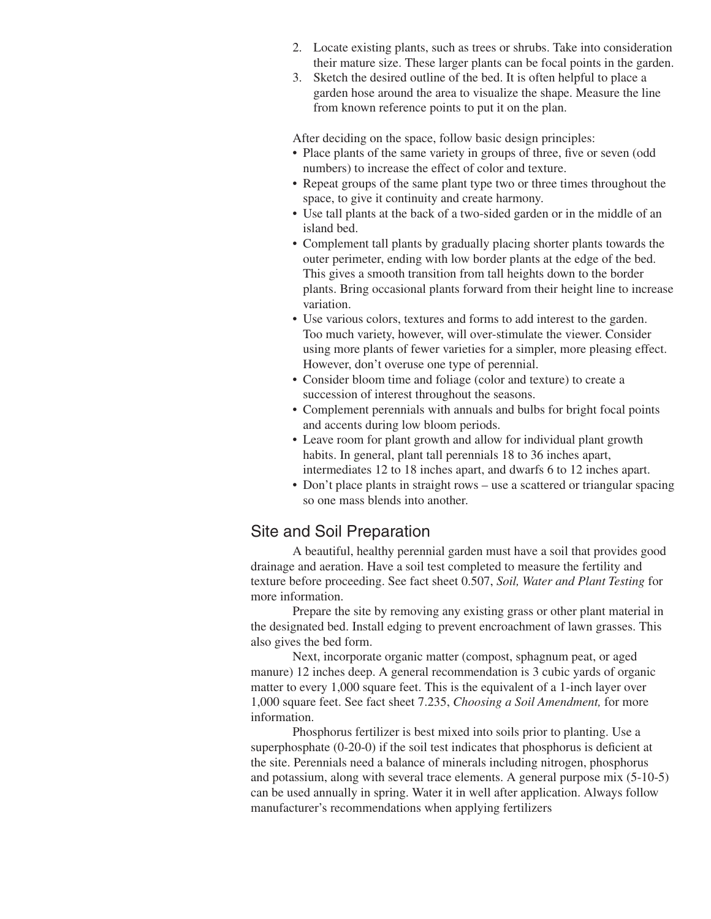- 2. Locate existing plants, such as trees or shrubs. Take into consideration their mature size. These larger plants can be focal points in the garden.
- 3. Sketch the desired outline of the bed. It is often helpful to place a garden hose around the area to visualize the shape. Measure the line from known reference points to put it on the plan.

After deciding on the space, follow basic design principles:

- Place plants of the same variety in groups of three, five or seven (odd) numbers) to increase the effect of color and texture.
- Repeat groups of the same plant type two or three times throughout the space, to give it continuity and create harmony.
- Use tall plants at the back of a two-sided garden or in the middle of an island bed.
- Complement tall plants by gradually placing shorter plants towards the outer perimeter, ending with low border plants at the edge of the bed. This gives a smooth transition from tall heights down to the border plants. Bring occasional plants forward from their height line to increase variation.
- Use various colors, textures and forms to add interest to the garden. Too much variety, however, will over-stimulate the viewer. Consider using more plants of fewer varieties for a simpler, more pleasing effect. However, don't overuse one type of perennial.
- Consider bloom time and foliage (color and texture) to create a succession of interest throughout the seasons.
- Complement perennials with annuals and bulbs for bright focal points and accents during low bloom periods.
- Leave room for plant growth and allow for individual plant growth habits. In general, plant tall perennials 18 to 36 inches apart, intermediates 12 to 18 inches apart, and dwarfs 6 to 12 inches apart.
- Don't place plants in straight rows use a scattered or triangular spacing so one mass blends into another.

#### Site and Soil Preparation

A beautiful, healthy perennial garden must have a soil that provides good drainage and aeration. Have a soil test completed to measure the fertility and texture before proceeding. See fact sheet 0.507, *Soil, Water and Plant Testing* for more information.

Prepare the site by removing any existing grass or other plant material in the designated bed. Install edging to prevent encroachment of lawn grasses. This also gives the bed form.

Next, incorporate organic matter (compost, sphagnum peat, or aged manure) 12 inches deep. A general recommendation is 3 cubic yards of organic matter to every 1,000 square feet. This is the equivalent of a 1-inch layer over 1,000 square feet. See fact sheet 7.235, *Choosing a Soil Amendment,* for more information.

Phosphorus fertilizer is best mixed into soils prior to planting. Use a superphosphate (0-20-0) if the soil test indicates that phosphorus is deficient at the site. Perennials need a balance of minerals including nitrogen, phosphorus and potassium, along with several trace elements. A general purpose mix (5-10-5) can be used annually in spring. Water it in well after application. Always follow manufacturer's recommendations when applying fertilizers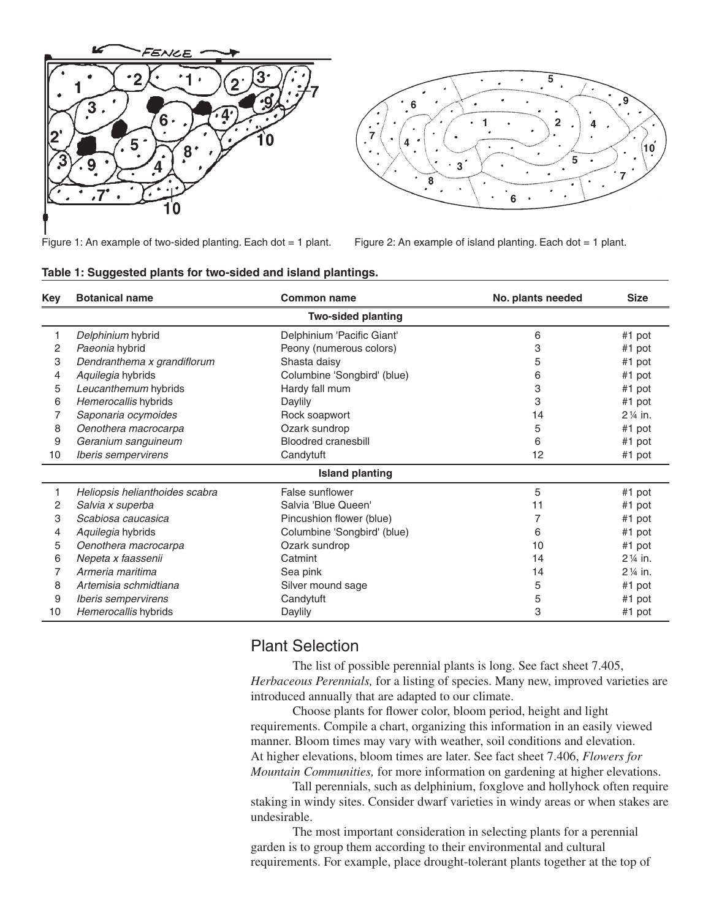



Figure 1: An example of two-sided planting. Each dot = 1 plant. Figure 2: An example of island planting. Each dot = 1 plant.

| Key                       | <b>Botanical name</b>          | <b>Common name</b>          | No. plants needed | <b>Size</b>        |
|---------------------------|--------------------------------|-----------------------------|-------------------|--------------------|
| <b>Two-sided planting</b> |                                |                             |                   |                    |
| 1                         | Delphinium hybrid              | Delphinium 'Pacific Giant'  | 6                 | #1 pot             |
| 2                         | Paeonia hybrid                 | Peony (numerous colors)     | 3                 | #1 pot             |
| 3                         | Dendranthema x grandiflorum    | Shasta daisy                | 5                 | #1 pot             |
| 4                         | Aquilegia hybrids              | Columbine 'Songbird' (blue) | 6                 | #1 pot             |
| 5                         | Leucanthemum hybrids           | Hardy fall mum              | 3                 | #1 pot             |
| 6                         | Hemerocallis hybrids           | Daylily                     | 3                 | #1 pot             |
|                           | Saponaria ocymoides            | Rock soapwort               | 14                | $2\frac{1}{4}$ in. |
| 8                         | Oenothera macrocarpa           | Ozark sundrop               | 5                 | #1 pot             |
| 9                         | Geranium sanguineum            | <b>Bloodred cranesbill</b>  | 6                 | #1 pot             |
| 10                        | Iberis sempervirens            | Candytuft                   | 12                | #1 pot             |
| <b>Island planting</b>    |                                |                             |                   |                    |
|                           | Heliopsis helianthoides scabra | False sunflower             | 5                 | #1 pot             |
| 2                         | Salvia x superba               | Salvia 'Blue Queen'         | 11                | #1 pot             |
| 3                         | Scabiosa caucasica             | Pincushion flower (blue)    | 7                 | #1 pot             |
| 4                         | Aquilegia hybrids              | Columbine 'Songbird' (blue) | 6                 | #1 pot             |
| 5                         | Oenothera macrocarpa           | Ozark sundrop               | 10                | #1 pot             |
| 6                         | Nepeta x faassenii             | Catmint                     | 14                | 2 1/4 in.          |
|                           | Armeria maritima               | Sea pink                    | 14                | 2 1/4 in.          |
| 8                         | Artemisia schmidtiana          | Silver mound sage           | 5                 | #1 pot             |
| 9                         | Iberis sempervirens            | Candytuft                   | 5                 | #1 pot             |
| 10                        | Hemerocallis hybrids           | Daylily                     | 3                 | #1 pot             |

#### **Table 1: Suggested plants for two-sided and island plantings.**

#### Plant Selection

The list of possible perennial plants is long. See fact sheet 7.405, *Herbaceous Perennials,* for a listing of species. Many new, improved varieties are introduced annually that are adapted to our climate.

Choose plants for flower color, bloom period, height and light requirements. Compile a chart, organizing this information in an easily viewed manner. Bloom times may vary with weather, soil conditions and elevation. At higher elevations, bloom times are later. See fact sheet 7.406, *Flowers for Mountain Communities,* for more information on gardening at higher elevations.

Tall perennials, such as delphinium, foxglove and hollyhock often require staking in windy sites. Consider dwarf varieties in windy areas or when stakes are undesirable.

The most important consideration in selecting plants for a perennial garden is to group them according to their environmental and cultural requirements. For example, place drought-tolerant plants together at the top of